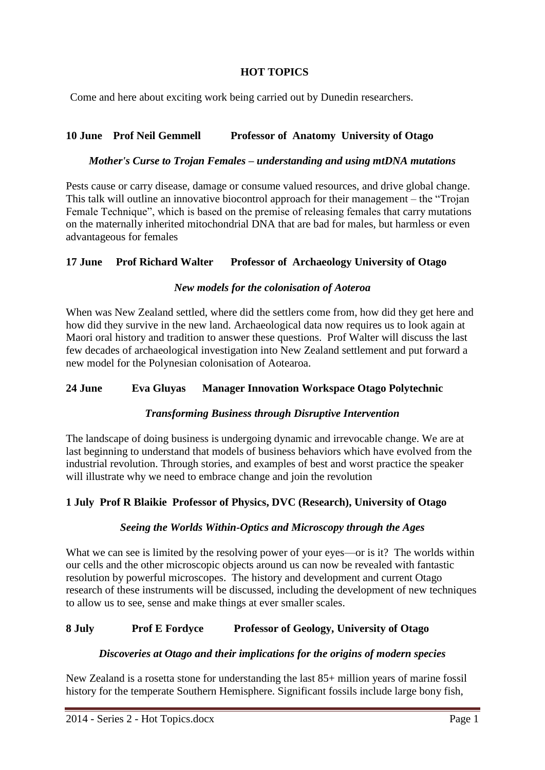# **HOT TOPICS**

Come and here about exciting work being carried out by Dunedin researchers.

# **10 June Prof Neil Gemmell Professor of Anatomy University of Otago**

#### *Mother's Curse to Trojan Females – understanding and using mtDNA mutations*

Pests cause or carry disease, damage or consume valued resources, and drive global change. This talk will outline an innovative biocontrol approach for their management – the "Trojan Female Technique", which is based on the premise of releasing females that carry mutations on the maternally inherited mitochondrial DNA that are bad for males, but harmless or even advantageous for females

## **17 June Prof Richard Walter Professor of Archaeology University of Otago**

#### *New models for the colonisation of Aoteroa*

When was New Zealand settled, where did the settlers come from, how did they get here and how did they survive in the new land. Archaeological data now requires us to look again at Maori oral history and tradition to answer these questions. Prof Walter will discuss the last few decades of archaeological investigation into New Zealand settlement and put forward a new model for the Polynesian colonisation of Aotearoa.

## **24 June Eva Gluyas Manager Innovation Workspace Otago Polytechnic**

## *Transforming Business through Disruptive Intervention*

The landscape of doing business is undergoing dynamic and irrevocable change. We are at last beginning to understand that models of business behaviors which have evolved from the industrial revolution. Through stories, and examples of best and worst practice the speaker will illustrate why we need to embrace change and join the revolution

## **1 July Prof R Blaikie Professor of Physics, DVC (Research), University of Otago**

#### *Seeing the Worlds Within-Optics and Microscopy through the Ages*

What we can see is limited by the resolving power of your eyes—or is it? The worlds within our cells and the other microscopic objects around us can now be revealed with fantastic resolution by powerful microscopes. The history and development and current Otago research of these instruments will be discussed, including the development of new techniques to allow us to see, sense and make things at ever smaller scales.

## **8 July Prof E Fordyce Professor of Geology, University of Otago**

#### *Discoveries at Otago and their implications for the origins of modern species*

New Zealand is a rosetta stone for understanding the last 85+ million years of marine fossil history for the temperate Southern Hemisphere. Significant fossils include large bony fish,